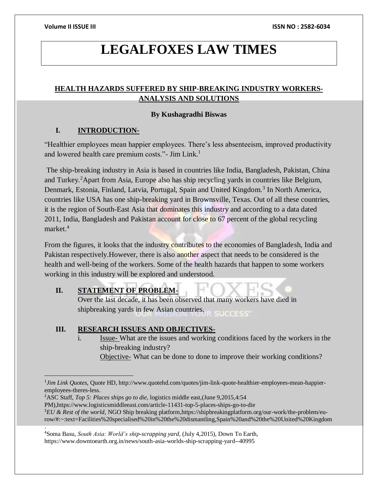# **LEGALFOXES LAW TIMES**

# **HEALTH HAZARDS SUFFERED BY SHIP-BREAKING INDUSTRY WORKERS-ANALYSIS AND SOLUTIONS**

### **By Kushagradhi Biswas**

# **I. INTRODUCTION-**

"Healthier employees mean happier employees. There's less absenteeism, improved productivity and lowered health care premium costs."- Jim Link.<sup>1</sup>

The ship-breaking industry in Asia is based in countries like India, Bangladesh, Pakistan, China and Turkey.<sup>2</sup>Apart from Asia, Europe also has ship recycling yards in countries like Belgium, Denmark, Estonia, Finland, Latvia, Portugal, Spain and United Kingdom.<sup>3</sup> In North America, countries like USA has one ship-breaking yard in Brownsville, Texas. Out of all these countries, it is the region of South-East Asia that dominates this industry and according to a data dated 2011, India, Bangladesh and Pakistan account for close to 67 percent of the global recycling market.<sup>4</sup>

From the figures, it looks that the industry contributes to the economies of Bangladesh, India and Pakistan respectively.However, there is also another aspect that needs to be considered is the health and well-being of the workers. Some of the health hazards that happen to some workers working in this industry will be explored and understood.

# **II. STATEMENT OF PROBLEM-**

 $\overline{a}$ 

.

Over the last decade, it has been observed that many workers have died in shipbreaking yards in few Asian countries. **SUCCESS** 

# **III. RESEARCH ISSUES AND OBJECTIVES-**

i. **Issue-** What are the issues and working conditions faced by the workers in the ship-breaking industry? Objective- What can be done to done to improve their working conditions?

<sup>2</sup>ASC Staff, *Top 5: Places ships go to die,* logistics middle east,(June 9,2015,4:54

PM),https://www.logisticsmiddleeast.com/article-11431-top-5-places-ships-go-to-die <sup>3</sup>*EU & Rest of the world,* NGO Ship breaking platform,https://shipbreakingplatform.org/our-work/the-problem/eurow/#:~:text=Facilities%20specialised%20in%20the%20dismantling,Spain%20and%20the%20United%20Kingdom

<sup>4</sup>Soma Basu, *South Asia: World's ship-scrapping yard,* (July 4,2015), Down To Earth, https://www.downtoearth.org.in/news/south-asia-worlds-ship-scrapping-yard--40995

<sup>&</sup>lt;sup>1</sup>*Jim Link Quotes*, Quote HD, http://www.quotehd.com/quotes/jim-link-quote-healthier-employees-mean-happieremployees-theres-less.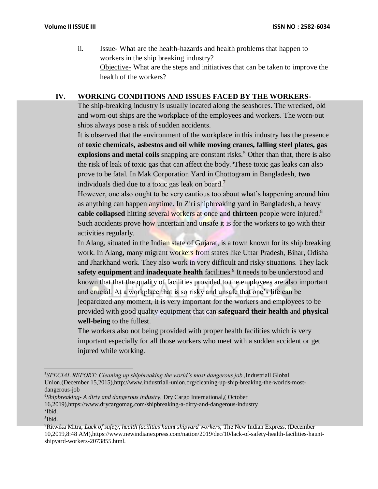ii. Issue- What are the health-hazards and health problems that happen to workers in the ship breaking industry? Objective- What are the steps and initiatives that can be taken to improve the health of the workers?

# **IV. WORKING CONDITIONS AND ISSUES FACED BY THE WORKERS-**

The ship-breaking industry is usually located along the seashores. The wrecked, old and worn-out ships are the workplace of the employees and workers. The worn-out ships always pose a risk of sudden accidents.

It is observed that the environment of the workplace in this industry has the presence of **toxic chemicals, asbestos and oil while moving cranes, falling steel plates, gas explosions and metal coils** snapping are constant risks.<sup>5</sup> Other than that, there is also the risk of leak of toxic gas that can affect the body.<sup>6</sup>These toxic gas leaks can also prove to be fatal. In Mak Corporation Yard in Chottogram in Bangladesh, **two** individuals died due to a toxic gas leak on board.<sup>7</sup>

However, one also ought to be very cautious too about what's happening around him as anything can happen anytime. In Ziri shipbreaking yard in Bangladesh, a heavy **cable collapsed** hitting several workers at once and **thirteen** people were injured.<sup>8</sup> Such accidents prove how uncertain and unsafe it is for the workers to go with their activities regularly.

In Alang, situated in the Indian state of Gujarat, is a town known for its ship breaking work. In Alang, many migrant workers from states like Uttar Pradesh, Bihar, Odisha and Jharkhand work. They also work in very difficult and risky situations. They lack safety equipment and inadequate health facilities.<sup>9</sup> It needs to be understood and known that that the quality of facilities provided to the employees are also important and crucial. At a workplace that is so risky and unsafe that one's life can be jeopardized any moment, it is very important for the workers and employees to be provided with good quality equipment that can **safeguard their health** and **physical well-being** to the fullest.

The workers also not being provided with proper health facilities which is very important especially for all those workers who meet with a sudden accident or get injured while working.

<sup>6</sup>*Shipbreaking- A dirty and dangerous industry,* Dry Cargo International,( October 16,2019),https://www.drycargomag.com/shipbreaking-a-dirty-and-dangerous-industry 7 Ibid.

 $\overline{a}$ 

<sup>5</sup>*SPECIAL REPORT: Cleaning up shipbreaking the world's most dangerous job ,*Industriall Global Union,(December 15,2015),http://www.industriall-union.org/cleaning-up-ship-breaking-the-worlds-mostdangerous-job

<sup>8</sup> Ibid.

<sup>9</sup>Ritwika Mitra, *Lack of safety, health facilities haunt shipyard workers,* The New Indian Express, (December 10,2019,8:48 AM),https://www.newindianexpress.com/nation/2019/dec/10/lack-of-safety-health-facilities-hauntshipyard-workers-2073855.html.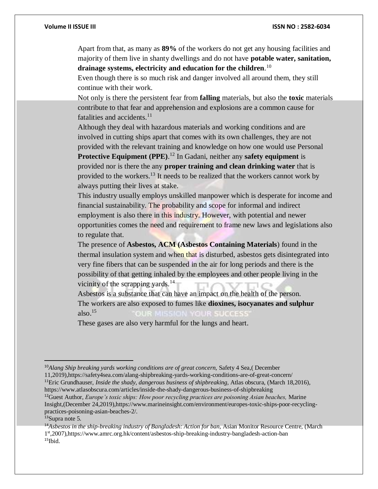Apart from that, as many as **89%** of the workers do not get any housing facilities and majority of them live in shanty dwellings and do not have **potable water, sanitation, drainage systems, electricity and education for the children**. 10

Even though there is so much risk and danger involved all around them, they still continue with their work.

Not only is there the persistent fear from **falling** materials, but also the **toxic** materials contribute to that fear and apprehension and explosions are a common cause for fatalities and accidents. $^{11}$ 

Although they deal with hazardous materials and working conditions and are involved in cutting ships apart that comes with its own challenges, they are not provided with the relevant training and knowledge on how one would use Personal **Protective Equipment (PPE)**. <sup>12</sup> In Gadani, neither any **safety equipment** is provided nor is there the any **proper training and clean drinking water** that is

provided to the workers.<sup>13</sup> It needs to be realized that the workers cannot work by always putting their lives at stake.

This industry usually employs unskilled manpower which is desperate for income and financial sustainability. The probability and scope for informal and indirect employment is also there in this industry. However, with potential and newer opportunities comes the need and requirement to frame new laws and legislations also to regulate that.

The presence of **Asbestos, ACM (Asbestos Containing Materials**) found in the thermal insulation system and when that is disturbed, asbestos gets disintegrated into very fine fibers that can be suspended in the air for long periods and there is the possibility of that getting inhaled by the employees and other people living in the vicinity of the scrapping yards.<sup>14</sup>

Asbestos is a substance that can have an impact on the health of the person. The workers are also exposed to fumes like **dioxines, isocyanates and sulphur** also. $15$ **OUR SUCCESS** 

These gases are also very harmful for the lungs and heart.

<sup>&</sup>lt;sup>10</sup>Alang Ship breaking yards working conditions are of great concern, Safety 4 Sea, (December 11,2019),https://safety4sea.com/alang-shipbreaking-yards-working-conditions-are-of-great-concern/

<sup>&</sup>lt;sup>11</sup>Eric Grundhauser, *Inside the shady, dangerous business of shipbreaking*, Atlas obscura, (March 18,2016), https://www.atlasobscura.com/articles/inside-the-shady-dangerous-business-of-shipbreaking

<sup>12</sup>Guest Author, *Europe's toxic ships: How poor recycling practices are poisoning Asian beaches,* Marine Insight,(December 24,2019),https://www.marineinsight.com/environment/europes-toxic-ships-poor-recyclingpractices-poisoning-asian-beaches-2/.

<sup>13</sup>Supra note 5.

<sup>14</sup>*Asbestos in the ship-breaking industry of Bangladesh: Action for ban,* Asian Monitor Resource Centre, (March 1 st,2007),https://www.amrc.org.hk/content/asbestos-ship-breaking-industry-bangladesh-action-ban  $15$ Ibid.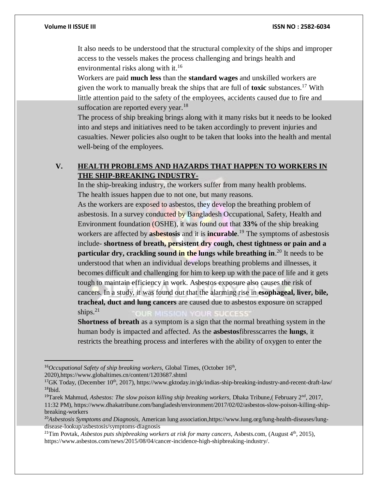It also needs to be understood that the structural complexity of the ships and improper access to the vessels makes the process challenging and brings health and environmental risks along with it.<sup>16</sup>

Workers are paid **much less** than the **standard wages** and unskilled workers are given the work to manually break the ships that are full of **toxic** substances.<sup>17</sup> With little attention paid to the safety of the employees, accidents caused due to fire and suffocation are reported every year.<sup>18</sup>

The process of ship breaking brings along with it many risks but it needs to be looked into and steps and initiatives need to be taken accordingly to prevent injuries and casualties. Newer policies also ought to be taken that looks into the health and mental well-being of the employees.

# **V. HEALTH PROBLEMS AND HAZARDS THAT HAPPEN TO WORKERS IN THE SHIP-BREAKING INDUSTRY-**

In the ship-breaking industry, the workers suffer from many health problems. The health issues happen due to not one, but many reasons.

As the workers are exposed to asbestos, they develop the breathing problem of asbestosis. In a survey conducted by Bangladesh Occupational, Safety, Health and Environment foundation (OSHE), it was found out that **33%** of the ship breaking workers are affected by **asbestosis** and it is **incurable**. <sup>19</sup> The symptoms of asbestosis include- **shortness of breath, persistent dry cough, chest tightness or pain and a particular dry, crackling sound in the lungs while breathing in**. <sup>20</sup> It needs to be understood that when an individual develops breathing problems and illnesses, it becomes difficult and challenging for him to keep up with the pace of life and it gets tough to maintain efficiency in work. Asbestos exposure also causes the risk of cancers. In a study, it was found out that the alarming rise in **esophageal, liver, bile, tracheal, duct and lung cancers** are caused due to asbestos exposure on scrapped ships. $21$ 

**Shortness of breath** as a symptom is a sign that the normal breathing system in the human body is impacted and affected. As the **asbestos**fibresscarres the **lungs**, it restricts the breathing process and interferes with the ability of oxygen to enter the

2020),https://www.globaltimes.cn/content/1203687.shtml

<sup>&</sup>lt;sup>16</sup>Occupational Safety of ship breaking workers, Global Times, (October 16<sup>th</sup>,

<sup>&</sup>lt;sup>17</sup>GK Today, (December 10<sup>th</sup>, 2017), https://www.gktoday.in/gk/indias-ship-breaking-industry-and-recent-draft-law/ <sup>18</sup>Ibid.

<sup>19</sup>Tarek Mahmud, *Asbestos: The slow poison killing ship breaking workers,* Dhaka Tribune,( February 2nd, 2017, 11:32 PM), https://www.dhakatribune.com/bangladesh/environment/2017/02/02/asbestos-slow-poison-killing-shipbreaking-workers

<sup>20</sup>*Asbestosis Symptoms and Diagnosis,* American lung association,https://www.lung.org/lung-health-diseases/lungdisease-lookup/asbestosis/symptoms-diagnosis

<sup>&</sup>lt;sup>21</sup>Tim Povtak, *Asbestos puts shipbreaking workers at risk for many cancers*, Asbests.com, (August  $4<sup>th</sup>$ , 2015), https://www.asbestos.com/news/2015/08/04/cancer-incidence-high-shipbreaking-industry/.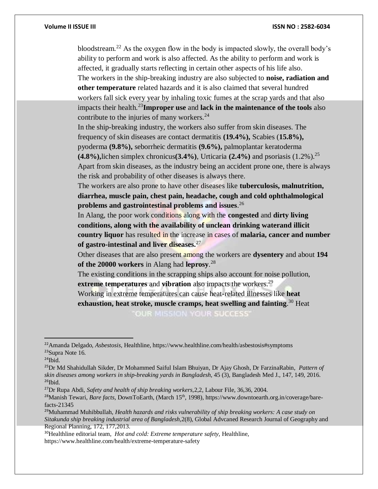bloodstream.<sup>22</sup> As the oxygen flow in the body is impacted slowly, the overall body's ability to perform and work is also affected. As the ability to perform and work is affected, it gradually starts reflecting in certain other aspects of his life also. The workers in the ship-breaking industry are also subjected to **noise, radiation and other temperature** related hazards and it is also claimed that several hundred workers fall sick every year by inhaling toxic fumes at the scrap yards and that also impacts their health.<sup>23</sup>**Improper use** and **lack in the maintenance of the tools** also contribute to the injuries of many workers.<sup>24</sup> In the ship-breaking industry, the workers also suffer from skin diseases. The frequency of skin diseases are contact dermatitis **(19.4%),** Scabies (**15.8%),**

pyoderma **(9.8%),** seborrheic dermatitis **(9.6%),** palmoplantar keratoderma **(4.8%),**lichen simplex chronicus**(3.4%)**, Urticaria **(2.4%)** and psoriasis (1.2%).<sup>25</sup> Apart from skin diseases, as the industry being an accident prone one, there is always the risk and probability of other diseases is always there.

The workers are also prone to have other diseases like **tuberculosis, malnutrition, diarrhea, muscle pain, chest pain, headache, cough and cold ophthalmological problems and gastrointestinal problems and issues**. 26

In Alang, the poor work conditions along with the **congested** and **dirty living conditions, along with the availability of unclean drinking waterand illicit country liquor** has resulted in the increase in cases of **malaria, cancer and number of gastro-intestinal and liver diseases.**<sup>27</sup>

Other diseases that are also present among the workers are **dysentery** and about **194 of the 20000 workers** in Alang had **leprosy**. 28

The existing conditions in the scrapping ships also account for noise pollution, **extreme temperatures** and **vibration** also impacts the workers.<sup>29</sup>

Working in extreme temperatures can cause heat-related illnesses like **heat exhaustion, heat stroke, muscle cramps, heat swelling and fainting**. <sup>30</sup> Heat **OUR MISSION YOUR SUCCESS** 

 $24$ Ibid.

<sup>22</sup>Amanda Delgado, *Asbestosis,* Healthline, https://www.healthline.com/health/asbestosis#symptoms <sup>23</sup>Supra Note 16.

<sup>25</sup>Dr Md Shahidullah Sikder, Dr Mohammed Saiful Islam Bhuiyan, Dr Ajay Ghosh, Dr FarzinaRabin, *Pattern of skin diseases among workers in ship-breaking yards in Bangladesh,* 45 (3), Bangladesh Med J., 147, 149, 2016.  $26$ Ibid.

<sup>27</sup>Dr Rupa Abdi, *Safety and health of ship breaking workers,*2,2, Labour File, 36,36, 2004.

<sup>&</sup>lt;sup>28</sup>Manish Tewari, *Bare facts*, DownToEarth, (March 15<sup>th</sup>, 1998), https://www.downtoearth.org.in/coverage/barefacts-21345

<sup>29</sup>Muhammad Muhibbullah, *Health hazards and risks vulnerability of ship breaking workers: A case study on Sitakunda ship breaking industrial area of Bangladesh,*2(8), Global Advcaned Research Journal of Geography and Regional Planning, 172, 177,2013.

<sup>30</sup>Healthline editorial team, *Hot and cold: Extreme temperature safety,* Healthline, https://www.healthline.com/health/extreme-temperature-safety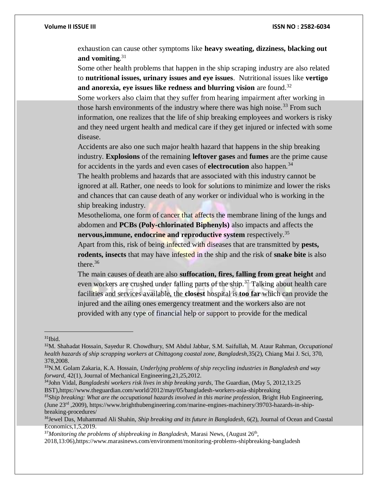exhaustion can cause other symptoms like **heavy sweating, dizziness, blacking out and vomiting**. 31

Some other health problems that happen in the ship scraping industry are also related to **nutritional issues, urinary issues and eye issues**. Nutritional issues like **vertigo and anorexia, eye issues like redness and blurring vision** are found.<sup>32</sup>

Some workers also claim that they suffer from hearing impairment after working in those harsh environments of the industry where there was high noise.<sup>33</sup> From such information, one realizes that the life of ship breaking employees and workers is risky and they need urgent health and medical care if they get injured or infected with some disease.

Accidents are also one such major health hazard that happens in the ship breaking industry. **Explosions** of the remaining **leftover gases** and **fumes** are the prime cause for accidents in the yards and even cases of **electrocution** also happen.<sup>34</sup>

The health problems and hazards that are associated with this industry cannot be ignored at all. Rather, one needs to look for solutions to minimize and lower the risks and chances that can cause death of any worker or individual who is working in the ship breaking industry.

Mesothelioma, one form of cancer that affects the membrane lining of the lungs and abdomen and **PCBs (Poly-chlorinated Biphenyls)** also impacts and affects the **nervous, immune, endocrine and reproductive system** respectively.<sup>35</sup>

Apart from this, risk of being infected with diseases that are transmitted by **pests, rodents, insects** that may have infested in the ship and the risk of **snake bite** is also there.<sup>36</sup>

The main causes of death are also **suffocation, fires, falling from great height** and even workers are crushed under falling parts of the ship.<sup>37</sup> Talking about health care facilities and services available, the **closest** hospital is **too far** which can provide the injured and the ailing ones emergency treatment and the workers also are not provided with any type of financial help or support to provide for the medical

<sup>&</sup>lt;sup>31</sup>Ibid.

<sup>32</sup>M. Shahadat Hossain, Sayedur R. Chowdhury, SM Abdul Jabbar, S.M. Saifullah, M. Ataur Rahman, *Occupational health hazards of ship scrapping workers at Chittagong coastal zone, Bangladesh,*35(2), Chiang Mai J. Sci, 370, 378,2008.

<sup>33</sup>N.M. Golam Zakaria, K.A. Hossain, *Underlyjng problems of ship recycling industries in Bangladesh and way forward,* 42(1), Journal of Mechanical Engineering,21,25,2012.

<sup>34</sup>John Vidal, *Bangladeshi workers risk lives in ship breaking yards,* The Guardian, (May 5, 2012,13:25 BST),https://www.theguardian.com/world/2012/may/05/bangladesh-workers-asia-shipbreaking

<sup>&</sup>lt;sup>35</sup>Ship breaking: What are the occupational hazards involved in this marine profession, Bright Hub Engineering, (June 23rd ,2009), https://www.brighthubengineering.com/marine-engines-machinery/39703-hazards-in-shipbreaking-procedures/

<sup>36</sup>Jewel Das, Muhammad Ali Shahin, *Ship breaking and its future in Bangladesh,* 6(2), Journal of Ocean and Coastal Economics,1,5,2019.

<sup>&</sup>lt;sup>37</sup> Monitoring the problems of shipbreaking in Bangladesh, Marasi News, (August 26<sup>th</sup>,

<sup>2018,13:06),</sup>https://www.marasinews.com/environment/monitoring-problems-shipbreaking-bangladesh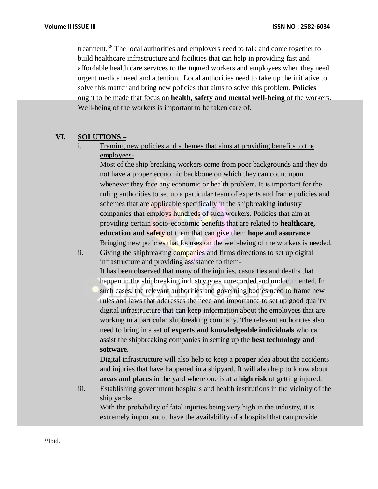treatment.<sup>38</sup> The local authorities and employers need to talk and come together to build healthcare infrastructure and facilities that can help in providing fast and affordable health care services to the injured workers and employees when they need urgent medical need and attention. Local authorities need to take up the initiative to solve this matter and bring new policies that aims to solve this problem. **Policies**  ought to be made that focus on **health, safety and mental well-being** of the workers. Well-being of the workers is important to be taken care of.

### **VI. SOLUTIONS –**

i. Framing new policies and schemes that aims at providing benefits to the employees-

Most of the ship breaking workers come from poor backgrounds and they do not have a proper economic backbone on which they can count upon whenever they face any economic or health problem. It is important for the ruling authorities to set up a particular team of experts and frame policies and schemes that are applicable specifically in the shipbreaking industry companies that employs hundreds of such workers. Policies that aim at providing certain socio-economic benefits that are related to **healthcare, education and safety** of them that can give them **hope and assurance**. Bringing new policies that focuses on the well-being of the workers is needed.

ii. Giving the shipbreaking companies and firms directions to set up digital infrastructure and providing assistance to them-It has been observed that many of the injuries, casualties and deaths that

happen in the shipbreaking industry goes unrecorded and undocumented. In such cases, the relevant authorities and governing bodies need to frame new rules and laws that addresses the need and importance to set up good quality digital infrastructure that can keep information about the employees that are working in a particular shipbreaking company. The relevant authorities also need to bring in a set of **experts and knowledgeable individuals** who can assist the shipbreaking companies in setting up the **best technology and software**.

Digital infrastructure will also help to keep a **proper** idea about the accidents and injuries that have happened in a shipyard. It will also help to know about **areas and places** in the yard where one is at a **high risk** of getting injured.

iii. Establishing government hospitals and health institutions in the vicinity of the ship yards-

With the probability of fatal injuries being very high in the industry, it is extremely important to have the availability of a hospital that can provide

 $38$ Ibid.

 $\overline{a}$